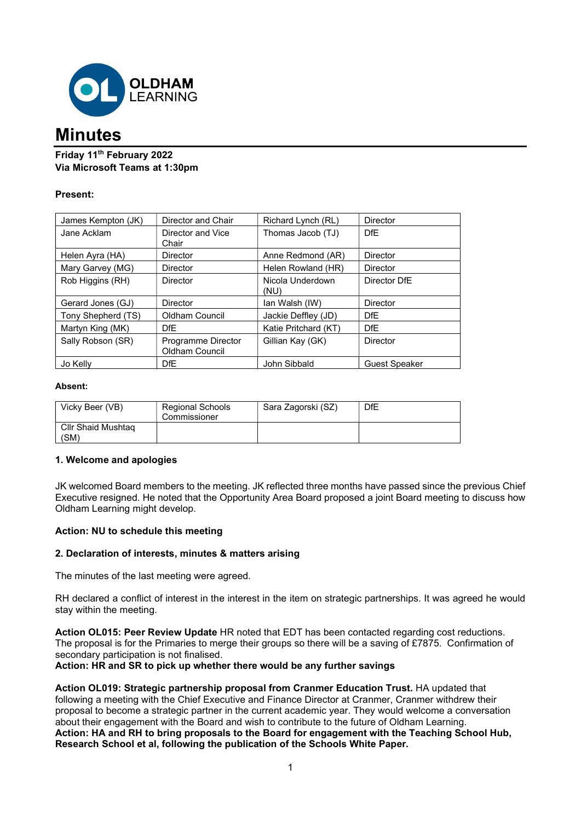

# **Minutes**

# Friday 11th February 2022 Via Microsoft Teams at 1:30pm

# Present:

| James Kempton (JK) | Director and Chair                   | Richard Lynch (RL)       | <b>Director</b>      |
|--------------------|--------------------------------------|--------------------------|----------------------|
| Jane Acklam        | Director and Vice<br>Chair           | Thomas Jacob (TJ)        | DfE                  |
| Helen Ayra (HA)    | <b>Director</b>                      | Anne Redmond (AR)        | <b>Director</b>      |
| Mary Garvey (MG)   | <b>Director</b>                      | Helen Rowland (HR)       | <b>Director</b>      |
| Rob Higgins (RH)   | <b>Director</b>                      | Nicola Underdown<br>(NU) | Director DfE         |
| Gerard Jones (GJ)  | <b>Director</b>                      | Ian Walsh (IW)           | <b>Director</b>      |
| Tony Shepherd (TS) | <b>Oldham Council</b>                | Jackie Deffley (JD)      | <b>DfE</b>           |
| Martyn King (MK)   | <b>DfF</b>                           | Katie Pritchard (KT)     | <b>DfE</b>           |
| Sally Robson (SR)  | Programme Director<br>Oldham Council | Gillian Kay (GK)         | <b>Director</b>      |
| Jo Kelly           | <b>DfE</b>                           | John Sibbald             | <b>Guest Speaker</b> |

## Absent:

| Vicky Beer (VB)            | <b>Regional Schools</b><br>Commissioner | Sara Zagorski (SZ) | DfE |
|----------------------------|-----------------------------------------|--------------------|-----|
| Cllr Shaid Mushtag<br>(SM) |                                         |                    |     |

# 1. Welcome and apologies

JK welcomed Board members to the meeting. JK reflected three months have passed since the previous Chief Executive resigned. He noted that the Opportunity Area Board proposed a joint Board meeting to discuss how Oldham Learning might develop.

# Action: NU to schedule this meeting

# 2. Declaration of interests, minutes & matters arising

The minutes of the last meeting were agreed.

RH declared a conflict of interest in the interest in the item on strategic partnerships. It was agreed he would stay within the meeting.

Action OL015: Peer Review Update HR noted that EDT has been contacted regarding cost reductions. The proposal is for the Primaries to merge their groups so there will be a saving of £7875. Confirmation of secondary participation is not finalised.

Action: HR and SR to pick up whether there would be any further savings

Action OL019: Strategic partnership proposal from Cranmer Education Trust. HA updated that following a meeting with the Chief Executive and Finance Director at Cranmer, Cranmer withdrew their proposal to become a strategic partner in the current academic year. They would welcome a conversation about their engagement with the Board and wish to contribute to the future of Oldham Learning. Action: HA and RH to bring proposals to the Board for engagement with the Teaching School Hub, Research School et al, following the publication of the Schools White Paper.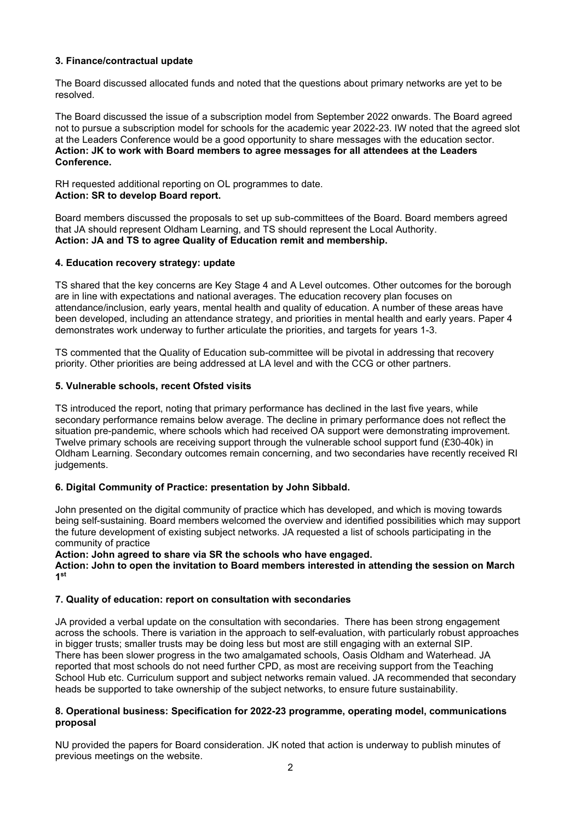## 3. Finance/contractual update

The Board discussed allocated funds and noted that the questions about primary networks are yet to be resolved.

The Board discussed the issue of a subscription model from September 2022 onwards. The Board agreed not to pursue a subscription model for schools for the academic year 2022-23. IW noted that the agreed slot at the Leaders Conference would be a good opportunity to share messages with the education sector. Action: JK to work with Board members to agree messages for all attendees at the Leaders Conference.

RH requested additional reporting on OL programmes to date. Action: SR to develop Board report.

Board members discussed the proposals to set up sub-committees of the Board. Board members agreed that JA should represent Oldham Learning, and TS should represent the Local Authority. Action: JA and TS to agree Quality of Education remit and membership.

#### 4. Education recovery strategy: update

TS shared that the key concerns are Key Stage 4 and A Level outcomes. Other outcomes for the borough are in line with expectations and national averages. The education recovery plan focuses on attendance/inclusion, early years, mental health and quality of education. A number of these areas have been developed, including an attendance strategy, and priorities in mental health and early years. Paper 4 demonstrates work underway to further articulate the priorities, and targets for years 1-3.

TS commented that the Quality of Education sub-committee will be pivotal in addressing that recovery priority. Other priorities are being addressed at LA level and with the CCG or other partners.

#### 5. Vulnerable schools, recent Ofsted visits

TS introduced the report, noting that primary performance has declined in the last five years, while secondary performance remains below average. The decline in primary performance does not reflect the situation pre-pandemic, where schools which had received OA support were demonstrating improvement. Twelve primary schools are receiving support through the vulnerable school support fund (£30-40k) in Oldham Learning. Secondary outcomes remain concerning, and two secondaries have recently received RI judgements.

#### 6. Digital Community of Practice: presentation by John Sibbald.

John presented on the digital community of practice which has developed, and which is moving towards being self-sustaining. Board members welcomed the overview and identified possibilities which may support the future development of existing subject networks. JA requested a list of schools participating in the community of practice

Action: John agreed to share via SR the schools who have engaged.

Action: John to open the invitation to Board members interested in attending the session on March 1 st

#### 7. Quality of education: report on consultation with secondaries

JA provided a verbal update on the consultation with secondaries. There has been strong engagement across the schools. There is variation in the approach to self-evaluation, with particularly robust approaches in bigger trusts; smaller trusts may be doing less but most are still engaging with an external SIP. There has been slower progress in the two amalgamated schools, Oasis Oldham and Waterhead. JA reported that most schools do not need further CPD, as most are receiving support from the Teaching School Hub etc. Curriculum support and subject networks remain valued. JA recommended that secondary heads be supported to take ownership of the subject networks, to ensure future sustainability.

## 8. Operational business: Specification for 2022-23 programme, operating model, communications proposal

NU provided the papers for Board consideration. JK noted that action is underway to publish minutes of previous meetings on the website.